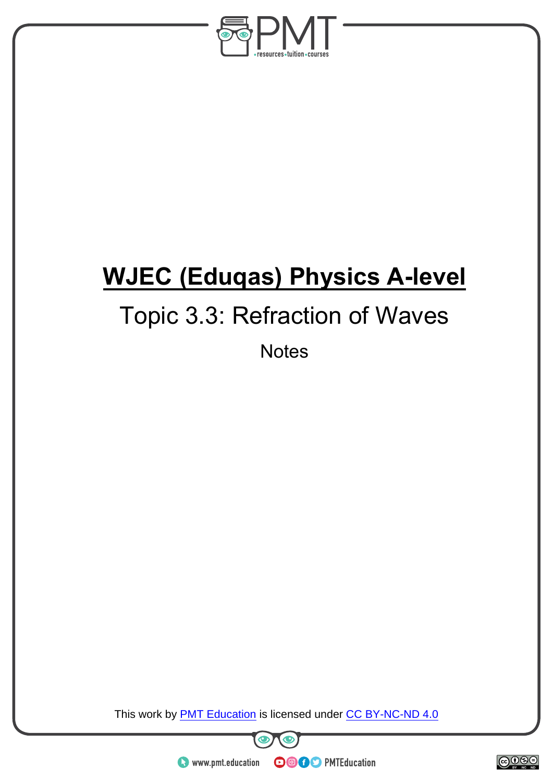

# **WJEC (Eduqas) Physics A-level**

# Topic 3.3: Refraction of Waves

**Notes** 

This work by **PMT Education** is licensed under CC BY-NC-ND 4.0



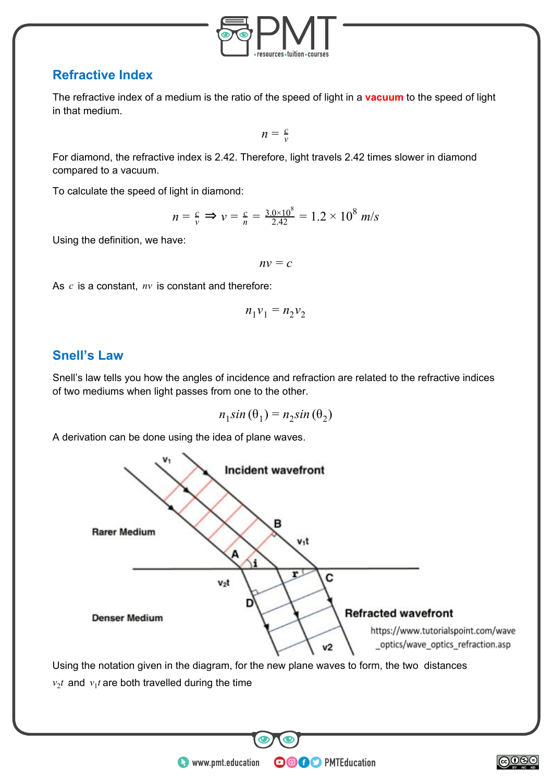

## **Refractive Index**

The refractive index of a medium is the ratio of the speed of light in a **vacuum** to the speed of light in that medium.

 $n = \frac{c}{v}$ 

For diamond, the refractive index is 2.42. Therefore, light travels 2.42 times slower in diamond compared to a vacuum.

To calculate the speed of light in diamond:

$$
n = \frac{c}{v} \implies v = \frac{c}{n} = \frac{3.0 \times 10^8}{2.42} = 1.2 \times 10^8
$$
 m/s

Using the definition, we have:

 $nv = c$ 

As c is a constant,  $nv$  is constant and therefore:

$$
n_1v_1 = n_2v_2
$$

## **Snell's Law**

Snell's law tells you how the angles of incidence and refraction are related to the refractive indices of two mediums when light passes from one to the other.

$$
n_1 \sin(\theta_1) = n_2 \sin(\theta_2)
$$

A derivation can be done using the idea of plane waves.



**OOOO** PMTEducation

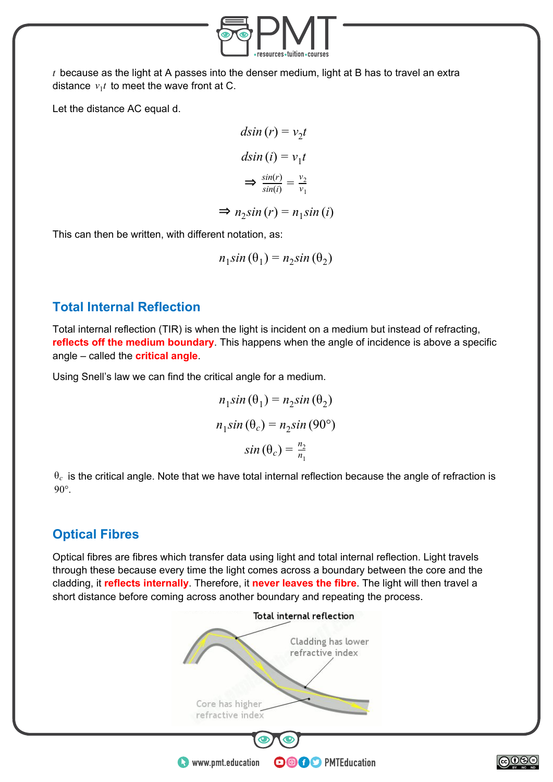

*t* because as the light at A passes into the denser medium, light at B has to travel an extra distance  $v_1 t$  to meet the wave front at C.

Let the distance AC equal d.

$$
d\sin(r) = v_2 t
$$
  
\n
$$
d\sin(i) = v_1 t
$$
  
\n
$$
\Rightarrow \frac{\sin(r)}{\sin(i)} = \frac{v_2}{v_1}
$$

 $\Rightarrow$  *n*<sub>2</sub>sin (*r*) = *n*<sub>1</sub>sin (*i*)

This can then be written, with different notation, as:

$$
n_1 \sin(\theta_1) = n_2 \sin(\theta_2)
$$

### **Total Internal Reflection**

Total internal reflection (TIR) is when the light is incident on a medium but instead of refracting, **reflects off the medium boundary**. This happens when the angle of incidence is above a specific angle – called the **critical angle**.

Using Snell's law we can find the critical angle for a medium.

 $n_1 sin(\theta_1) = n_2 sin(\theta_2)$  $n_1 \sin(\theta_c) = n_2 \sin(90^\circ)$  $sin(\theta_c) = \frac{n_2}{n_1}$ 

 $\theta_c$  is the critical angle. Note that we have total internal reflection because the angle of refraction is  $90^\circ$ .

### **Optical Fibres**

Optical fibres are fibres which transfer data using light and total internal reflection. Light travels through these because every time the light comes across a boundary between the core and the cladding, it **reflects internally**. Therefore, it **never leaves the fibre**. The light will then travel a short distance before coming across another boundary and repeating the process.